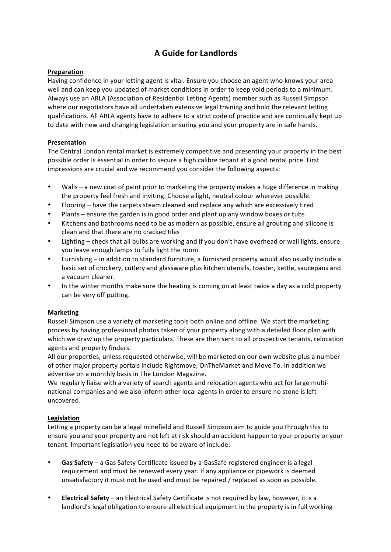# **A Guide for Landlords**

## **Preparation**

Having confidence in your letting agent is vital. Ensure you choose an agent who knows your area well and can keep you updated of market conditions in order to keep void periods to a minimum. Always use an ARLA (Association of Residential Letting Agents) member such as Russell Simpson where our negotiators have all undertaken extensive legal training and hold the relevant letting qualifications. All ARLA agents have to adhere to a strict code of practice and are continually kept up to date with new and changing legislation ensuring you and your property are in safe hands.

## **Presentation**

The Central London rental market is extremely competitive and presenting your property in the best possible order is essential in order to secure a high calibre tenant at a good rental price. First impressions are crucial and we recommend you consider the following aspects:

- Walls a new coat of paint prior to marketing the property makes a huge difference in making the property feel fresh and inviting. Choose a light, neutral colour wherever possible.
- Flooring have the carpets steam cleaned and replace any which are excessively tired
- Plants ensure the garden is in good order and plant up any window boxes or tubs
- Kitchens and bathrooms need to be as modern as possible, ensure all grouting and silicone is clean and that there are no cracked tiles
- Lighting check that all bulbs are working and if you don't have overhead or wall lights, ensure you leave enough lamps to fully light the room
- Furnishing in addition to standard furniture, a furnished property would also usually include a basic set of crockery, cutlery and glassware plus kitchen utensils, toaster, kettle, saucepans and a vacuum cleaner.
- In the winter months make sure the heating is coming on at least twice a day as a cold property can be very off putting.

## **Marketing**

Russell Simpson use a variety of marketing tools both online and offline. We start the marketing process by having professional photos taken of your property along with a detailed floor plan with which we draw up the property particulars. These are then sent to all prospective tenants, relocation agents and property finders.

All our properties, unless requested otherwise, will be marketed on our own website plus a number of other major property portals include Rightmove, OnTheMarket and Move To. In addition we advertise on a monthly basis in The London Magazine.

We regularly liaise with a variety of search agents and relocation agents who act for large multinational companies and we also inform other local agents in order to ensure no stone is left uncovered.

## **Legislation**

Letting a property can be a legal minefield and Russell Simpson aim to guide you through this to ensure you and your property are not left at risk should an accident happen to your property or your tenant. Important legislation you need to be aware of include:

- **Gas Safety** a Gas Safety Certificate issued by a GasSafe registered engineer is a legal requirement and must be renewed every year. If any appliance or pipework is deemed unsatisfactory it must not be used and must be repaired / replaced as soon as possible.
- **Electrical Safety** an Electrical Safety Certificate is not required by law, however, it is a landlord's legal obligation to ensure all electrical equipment in the property is in full working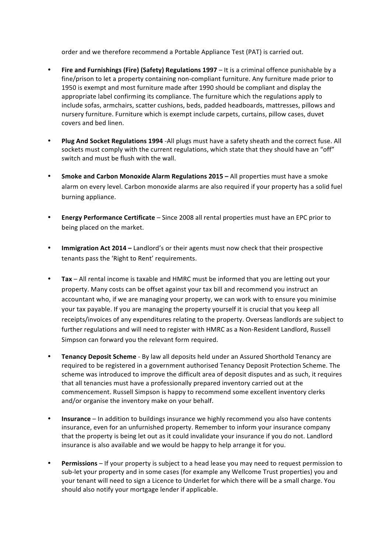order and we therefore recommend a Portable Appliance Test (PAT) is carried out.

- Fire and Furnishings (Fire) (Safety) Regulations 1997 It is a criminal offence punishable by a fine/prison to let a property containing non-compliant furniture. Any furniture made prior to 1950 is exempt and most furniture made after 1990 should be compliant and display the appropriate label confirming its compliance. The furniture which the regulations apply to include sofas, armchairs, scatter cushions, beds, padded headboards, mattresses, pillows and nursery furniture. Furniture which is exempt include carpets, curtains, pillow cases, duvet covers and bed linen.
- **Plug And Socket Regulations 1994** -All plugs must have a safety sheath and the correct fuse. All sockets must comply with the current regulations, which state that they should have an "off" switch and must be flush with the wall.
- **Smoke and Carbon Monoxide Alarm Regulations 2015 All properties must have a smoke** alarm on every level. Carbon monoxide alarms are also required if your property has a solid fuel burning appliance.
- **Energy Performance Certificate** Since 2008 all rental properties must have an EPC prior to being placed on the market.
- **Immigration Act 2014** Landlord's or their agents must now check that their prospective tenants pass the 'Right to Rent' requirements.
- Tax All rental income is taxable and HMRC must be informed that you are letting out your property. Many costs can be offset against your tax bill and recommend you instruct an accountant who, if we are managing your property, we can work with to ensure you minimise your tax payable. If you are managing the property yourself it is crucial that you keep all receipts/invoices of any expenditures relating to the property. Overseas landlords are subject to further regulations and will need to register with HMRC as a Non-Resident Landlord, Russell Simpson can forward you the relevant form required.
- **Tenancy Deposit Scheme** By law all deposits held under an Assured Shorthold Tenancy are required to be registered in a government authorised Tenancy Deposit Protection Scheme. The scheme was introduced to improve the difficult area of deposit disputes and as such, it requires that all tenancies must have a professionally prepared inventory carried out at the commencement. Russell Simpson is happy to recommend some excellent inventory clerks and/or organise the inventory make on your behalf.
- **Insurance** In addition to buildings insurance we highly recommend you also have contents insurance, even for an unfurnished property. Remember to inform your insurance company that the property is being let out as it could invalidate your insurance if you do not. Landlord insurance is also available and we would be happy to help arrange it for you.
- Permissions If your property is subject to a head lease you may need to request permission to sub-let your property and in some cases (for example any Wellcome Trust properties) you and your tenant will need to sign a Licence to Underlet for which there will be a small charge. You should also notify your mortgage lender if applicable.